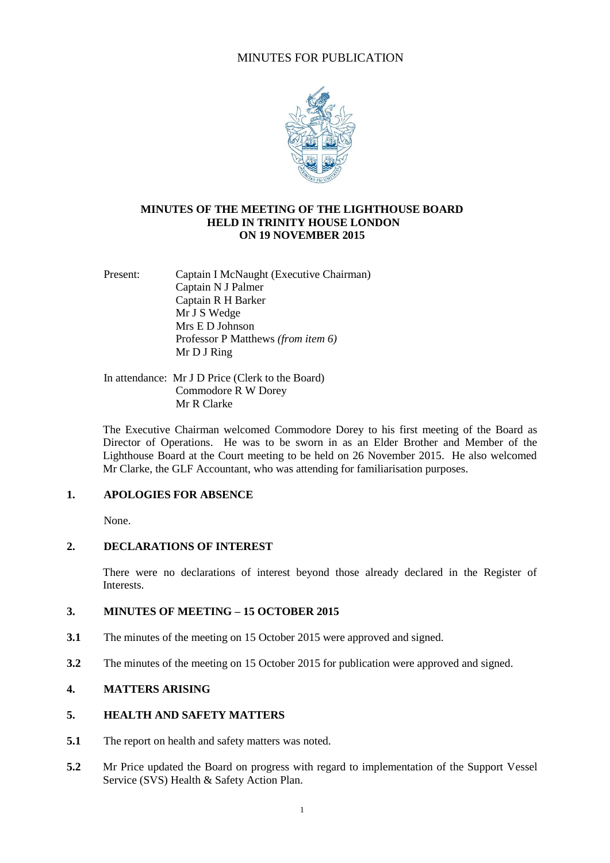# MINUTES FOR PUBLICATION



#### **MINUTES OF THE MEETING OF THE LIGHTHOUSE BOARD HELD IN TRINITY HOUSE LONDON ON 19 NOVEMBER 2015**

Present: Captain I McNaught (Executive Chairman) Captain N J Palmer Captain R H Barker Mr J S Wedge Mrs E D Johnson Professor P Matthews *(from item 6)* Mr D J Ring

In attendance: Mr J D Price (Clerk to the Board) Commodore R W Dorey Mr R Clarke

The Executive Chairman welcomed Commodore Dorey to his first meeting of the Board as Director of Operations. He was to be sworn in as an Elder Brother and Member of the Lighthouse Board at the Court meeting to be held on 26 November 2015. He also welcomed Mr Clarke, the GLF Accountant, who was attending for familiarisation purposes.

# **1. APOLOGIES FOR ABSENCE**

None.

# **2. DECLARATIONS OF INTEREST**

There were no declarations of interest beyond those already declared in the Register of Interests.

# **3. MINUTES OF MEETING – 15 OCTOBER 2015**

- **3.1** The minutes of the meeting on 15 October 2015 were approved and signed.
- **3.2** The minutes of the meeting on 15 October 2015 for publication were approved and signed.

# **4. MATTERS ARISING**

### **5. HEALTH AND SAFETY MATTERS**

- **5.1** The report on health and safety matters was noted.
- **5.2** Mr Price updated the Board on progress with regard to implementation of the Support Vessel Service (SVS) Health & Safety Action Plan.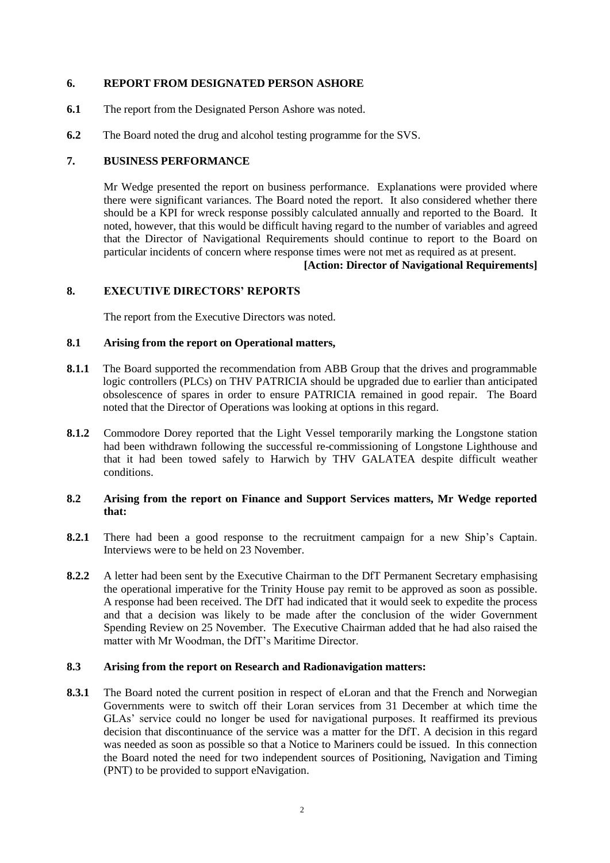# **6. REPORT FROM DESIGNATED PERSON ASHORE**

- **6.1** The report from the Designated Person Ashore was noted.
- **6.2** The Board noted the drug and alcohol testing programme for the SVS.

# **7. BUSINESS PERFORMANCE**

Mr Wedge presented the report on business performance. Explanations were provided where there were significant variances. The Board noted the report. It also considered whether there should be a KPI for wreck response possibly calculated annually and reported to the Board. It noted, however, that this would be difficult having regard to the number of variables and agreed that the Director of Navigational Requirements should continue to report to the Board on particular incidents of concern where response times were not met as required as at present.

# **[Action: Director of Navigational Requirements]**

# **8. EXECUTIVE DIRECTORS' REPORTS**

The report from the Executive Directors was noted.

# **8.1 Arising from the report on Operational matters,**

- **8.1.1** The Board supported the recommendation from ABB Group that the drives and programmable logic controllers (PLCs) on THV PATRICIA should be upgraded due to earlier than anticipated obsolescence of spares in order to ensure PATRICIA remained in good repair. The Board noted that the Director of Operations was looking at options in this regard.
- **8.1.2** Commodore Dorey reported that the Light Vessel temporarily marking the Longstone station had been withdrawn following the successful re-commissioning of Longstone Lighthouse and that it had been towed safely to Harwich by THV GALATEA despite difficult weather conditions.

#### **8.2 Arising from the report on Finance and Support Services matters, Mr Wedge reported that:**

- **8.2.1** There had been a good response to the recruitment campaign for a new Ship's Captain. Interviews were to be held on 23 November.
- **8.2.2** A letter had been sent by the Executive Chairman to the DfT Permanent Secretary emphasising the operational imperative for the Trinity House pay remit to be approved as soon as possible. A response had been received. The DfT had indicated that it would seek to expedite the process and that a decision was likely to be made after the conclusion of the wider Government Spending Review on 25 November. The Executive Chairman added that he had also raised the matter with Mr Woodman, the DfT's Maritime Director.

#### **8.3 Arising from the report on Research and Radionavigation matters:**

**8.3.1** The Board noted the current position in respect of eLoran and that the French and Norwegian Governments were to switch off their Loran services from 31 December at which time the GLAs' service could no longer be used for navigational purposes. It reaffirmed its previous decision that discontinuance of the service was a matter for the DfT. A decision in this regard was needed as soon as possible so that a Notice to Mariners could be issued. In this connection the Board noted the need for two independent sources of Positioning, Navigation and Timing (PNT) to be provided to support eNavigation.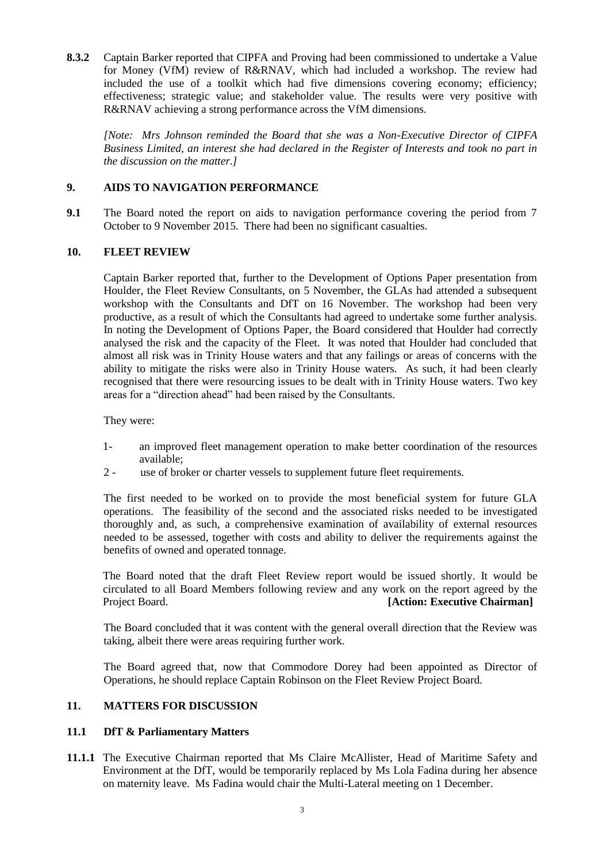**8.3.2** Captain Barker reported that CIPFA and Proving had been commissioned to undertake a Value for Money (VfM) review of R&RNAV, which had included a workshop. The review had included the use of a toolkit which had five dimensions covering economy; efficiency; effectiveness; strategic value; and stakeholder value. The results were very positive with R&RNAV achieving a strong performance across the VfM dimensions.

*[Note: Mrs Johnson reminded the Board that she was a Non-Executive Director of CIPFA Business Limited, an interest she had declared in the Register of Interests and took no part in the discussion on the matter.]*

# **9. AIDS TO NAVIGATION PERFORMANCE**

**9.1** The Board noted the report on aids to navigation performance covering the period from 7 October to 9 November 2015. There had been no significant casualties.

#### **10. FLEET REVIEW**

Captain Barker reported that, further to the Development of Options Paper presentation from Houlder, the Fleet Review Consultants, on 5 November, the GLAs had attended a subsequent workshop with the Consultants and DfT on 16 November. The workshop had been very productive, as a result of which the Consultants had agreed to undertake some further analysis. In noting the Development of Options Paper, the Board considered that Houlder had correctly analysed the risk and the capacity of the Fleet. It was noted that Houlder had concluded that almost all risk was in Trinity House waters and that any failings or areas of concerns with the ability to mitigate the risks were also in Trinity House waters. As such, it had been clearly recognised that there were resourcing issues to be dealt with in Trinity House waters. Two key areas for a "direction ahead" had been raised by the Consultants.

They were:

- 1- an improved fleet management operation to make better coordination of the resources available;
- 2 use of broker or charter vessels to supplement future fleet requirements.

The first needed to be worked on to provide the most beneficial system for future GLA operations. The feasibility of the second and the associated risks needed to be investigated thoroughly and, as such, a comprehensive examination of availability of external resources needed to be assessed, together with costs and ability to deliver the requirements against the benefits of owned and operated tonnage.

The Board noted that the draft Fleet Review report would be issued shortly. It would be circulated to all Board Members following review and any work on the report agreed by the **Project Board.** *Project Board.* **<b>***Project Board. Project Board. Project Board. Project Board. Project Board. Project Board. Project Board. Project Board. Project Board. Project Board.* 

The Board concluded that it was content with the general overall direction that the Review was taking, albeit there were areas requiring further work.

The Board agreed that, now that Commodore Dorey had been appointed as Director of Operations, he should replace Captain Robinson on the Fleet Review Project Board.

#### **11. MATTERS FOR DISCUSSION**

#### **11.1 DfT & Parliamentary Matters**

**11.1.1** The Executive Chairman reported that Ms Claire McAllister, Head of Maritime Safety and Environment at the DfT, would be temporarily replaced by Ms Lola Fadina during her absence on maternity leave. Ms Fadina would chair the Multi-Lateral meeting on 1 December.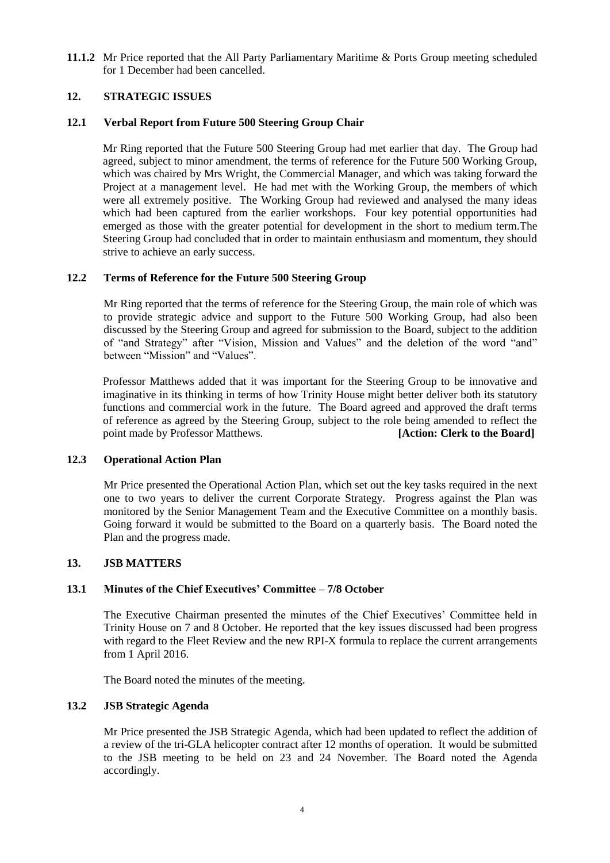**11.1.2** Mr Price reported that the All Party Parliamentary Maritime & Ports Group meeting scheduled for 1 December had been cancelled.

# **12. STRATEGIC ISSUES**

### **12.1 Verbal Report from Future 500 Steering Group Chair**

Mr Ring reported that the Future 500 Steering Group had met earlier that day. The Group had agreed, subject to minor amendment, the terms of reference for the Future 500 Working Group, which was chaired by Mrs Wright, the Commercial Manager, and which was taking forward the Project at a management level. He had met with the Working Group, the members of which were all extremely positive. The Working Group had reviewed and analysed the many ideas which had been captured from the earlier workshops. Four key potential opportunities had emerged as those with the greater potential for development in the short to medium term.The Steering Group had concluded that in order to maintain enthusiasm and momentum, they should strive to achieve an early success.

# **12.2 Terms of Reference for the Future 500 Steering Group**

Mr Ring reported that the terms of reference for the Steering Group, the main role of which was to provide strategic advice and support to the Future 500 Working Group, had also been discussed by the Steering Group and agreed for submission to the Board, subject to the addition of "and Strategy" after "Vision, Mission and Values" and the deletion of the word "and" between "Mission" and "Values".

Professor Matthews added that it was important for the Steering Group to be innovative and imaginative in its thinking in terms of how Trinity House might better deliver both its statutory functions and commercial work in the future. The Board agreed and approved the draft terms of reference as agreed by the Steering Group, subject to the role being amended to reflect the point made by Professor Matthews. **[Action: Clerk to the Board]**

#### **12.3 Operational Action Plan**

Mr Price presented the Operational Action Plan, which set out the key tasks required in the next one to two years to deliver the current Corporate Strategy. Progress against the Plan was monitored by the Senior Management Team and the Executive Committee on a monthly basis. Going forward it would be submitted to the Board on a quarterly basis. The Board noted the Plan and the progress made.

#### **13. JSB MATTERS**

#### **13.1 Minutes of the Chief Executives' Committee – 7/8 October**

The Executive Chairman presented the minutes of the Chief Executives' Committee held in Trinity House on 7 and 8 October. He reported that the key issues discussed had been progress with regard to the Fleet Review and the new RPI-X formula to replace the current arrangements from 1 April 2016.

The Board noted the minutes of the meeting.

#### **13.2 JSB Strategic Agenda**

Mr Price presented the JSB Strategic Agenda, which had been updated to reflect the addition of a review of the tri-GLA helicopter contract after 12 months of operation. It would be submitted to the JSB meeting to be held on 23 and 24 November. The Board noted the Agenda accordingly.